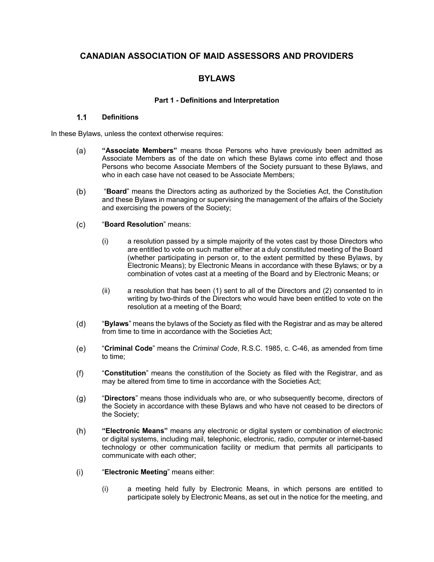# **CANADIAN ASSOCIATION OF MAID ASSESSORS AND PROVIDERS**

# **BYLAWS**

## **Part 1 - Definitions and Interpretation**

#### $1.1$ **Definitions**

In these Bylaws, unless the context otherwise requires:

- **"Associate Members"** means those Persons who have previously been admitted as  $(a)$ Associate Members as of the date on which these Bylaws come into effect and those Persons who become Associate Members of the Society pursuant to these Bylaws, and who in each case have not ceased to be Associate Members;
- $(b)$ "**Board**" means the Directors acting as authorized by the Societies Act, the Constitution and these Bylaws in managing or supervising the management of the affairs of the Society and exercising the powers of the Society;
- $(c)$ "**Board Resolution**" means:
	- (i) a resolution passed by a simple majority of the votes cast by those Directors who are entitled to vote on such matter either at a duly constituted meeting of the Board (whether participating in person or, to the extent permitted by these Bylaws, by Electronic Means); by Electronic Means in accordance with these Bylaws; or by a combination of votes cast at a meeting of the Board and by Electronic Means; or
	- (ii) a resolution that has been (1) sent to all of the Directors and (2) consented to in writing by two-thirds of the Directors who would have been entitled to vote on the resolution at a meeting of the Board;
- $(d)$ "**Bylaws**" means the bylaws of the Society as filed with the Registrar and as may be altered from time to time in accordance with the Societies Act;
- "**Criminal Code**" means the *Criminal Code*, R.S.C. 1985, c. C-46, as amended from time  $(e)$ to time;
- "**Constitution**" means the constitution of the Society as filed with the Registrar, and as  $(f)$ may be altered from time to time in accordance with the Societies Act;
- $(g)$ "**Directors**" means those individuals who are, or who subsequently become, directors of the Society in accordance with these Bylaws and who have not ceased to be directors of the Society;
- $(h)$ **"Electronic Means"** means any electronic or digital system or combination of electronic or digital systems, including mail, telephonic, electronic, radio, computer or internet-based technology or other communication facility or medium that permits all participants to communicate with each other;
- $(i)$ "**Electronic Meeting**" means either:
	- (i) a meeting held fully by Electronic Means, in which persons are entitled to participate solely by Electronic Means, as set out in the notice for the meeting, and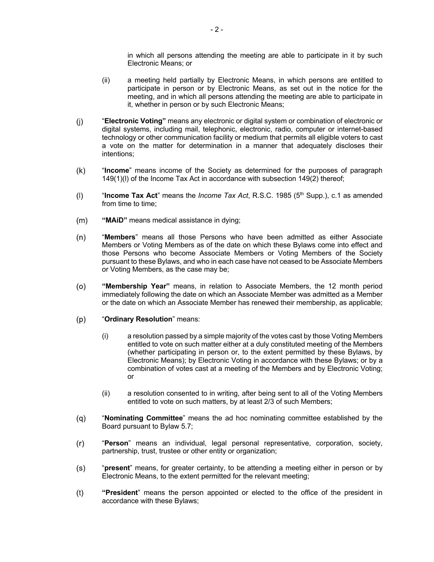in which all persons attending the meeting are able to participate in it by such Electronic Means; or

- (ii) a meeting held partially by Electronic Means, in which persons are entitled to participate in person or by Electronic Means, as set out in the notice for the meeting, and in which all persons attending the meeting are able to participate in it, whether in person or by such Electronic Means;
- $(i)$ "**Electronic Voting"** means any electronic or digital system or combination of electronic or digital systems, including mail, telephonic, electronic, radio, computer or internet-based technology or other communication facility or medium that permits all eligible voters to cast a vote on the matter for determination in a manner that adequately discloses their intentions;
- $(k)$ "**Income**" means income of the Society as determined for the purposes of paragraph 149(1)(l) of the Income Tax Act in accordance with subsection 149(2) thereof;
- "Income Tax Act" means the *Income Tax Act*, R.S.C. 1985 (5<sup>th</sup> Supp.), c.1 as amended  $(1)$ from time to time;
- $(m)$ **"MAiD"** means medical assistance in dying;
- $(n)$ "**Members**" means all those Persons who have been admitted as either Associate Members or Voting Members as of the date on which these Bylaws come into effect and those Persons who become Associate Members or Voting Members of the Society pursuant to these Bylaws, and who in each case have not ceased to be Associate Members or Voting Members, as the case may be;
- $(0)$ **"Membership Year"** means, in relation to Associate Members, the 12 month period immediately following the date on which an Associate Member was admitted as a Member or the date on which an Associate Member has renewed their membership, as applicable;
- "**Ordinary Resolution**" means:  $(p)$ 
	- (i) a resolution passed by a simple majority of the votes cast by those Voting Members entitled to vote on such matter either at a duly constituted meeting of the Members (whether participating in person or, to the extent permitted by these Bylaws, by Electronic Means); by Electronic Voting in accordance with these Bylaws; or by a combination of votes cast at a meeting of the Members and by Electronic Voting; or
	- (ii) a resolution consented to in writing, after being sent to all of the Voting Members entitled to vote on such matters, by at least 2/3 of such Members;
- $(q)$ "**Nominating Committee**" means the ad hoc nominating committee established by the Board pursuant to Bylaw 5.7;
- "**Person**" means an individual, legal personal representative, corporation, society,  $(r)$ partnership, trust, trustee or other entity or organization;
- $(s)$ "**present**" means, for greater certainty, to be attending a meeting either in person or by Electronic Means, to the extent permitted for the relevant meeting;
- $(t)$ **"President**" means the person appointed or elected to the office of the president in accordance with these Bylaws;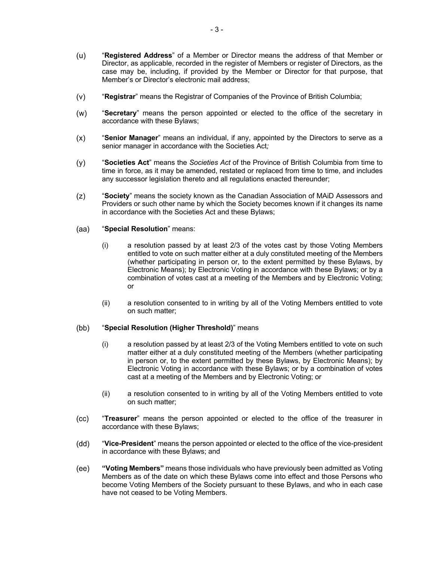- $(u)$ "**Registered Address**" of a Member or Director means the address of that Member or Director, as applicable, recorded in the register of Members or register of Directors, as the case may be, including, if provided by the Member or Director for that purpose, that Member's or Director's electronic mail address;
- $(v)$ "**Registrar**" means the Registrar of Companies of the Province of British Columbia;
- $(w)$ "**Secretary**" means the person appointed or elected to the office of the secretary in accordance with these Bylaws;
- "**Senior Manager**" means an individual, if any, appointed by the Directors to serve as a  $(x)$ senior manager in accordance with the Societies Act*;*
- $(y)$ "**Societies Act**" means the *Societies Act* of the Province of British Columbia from time to time in force, as it may be amended, restated or replaced from time to time, and includes any successor legislation thereto and all regulations enacted thereunder;
- $(z)$ "**Society**" means the society known as the Canadian Association of MAiD Assessors and Providers or such other name by which the Society becomes known if it changes its name in accordance with the Societies Act and these Bylaws;

#### $(aa)$ "**Special Resolution**" means:

- (i) a resolution passed by at least 2/3 of the votes cast by those Voting Members entitled to vote on such matter either at a duly constituted meeting of the Members (whether participating in person or, to the extent permitted by these Bylaws, by Electronic Means); by Electronic Voting in accordance with these Bylaws; or by a combination of votes cast at a meeting of the Members and by Electronic Voting; or
- (ii) a resolution consented to in writing by all of the Voting Members entitled to vote on such matter;

#### $(bb)$ "**Special Resolution (Higher Threshold)**" means

- (i) a resolution passed by at least 2/3 of the Voting Members entitled to vote on such matter either at a duly constituted meeting of the Members (whether participating in person or, to the extent permitted by these Bylaws, by Electronic Means); by Electronic Voting in accordance with these Bylaws; or by a combination of votes cast at a meeting of the Members and by Electronic Voting; or
- (ii) a resolution consented to in writing by all of the Voting Members entitled to vote on such matter;
- $(cc)$ "**Treasurer**" means the person appointed or elected to the office of the treasurer in accordance with these Bylaws;
- (dd) "**Vice-President**" means the person appointed or elected to the office of the vice-president in accordance with these Bylaws; and
- $(ee)$ **"Voting Members"** means those individuals who have previously been admitted as Voting Members as of the date on which these Bylaws come into effect and those Persons who become Voting Members of the Society pursuant to these Bylaws, and who in each case have not ceased to be Voting Members.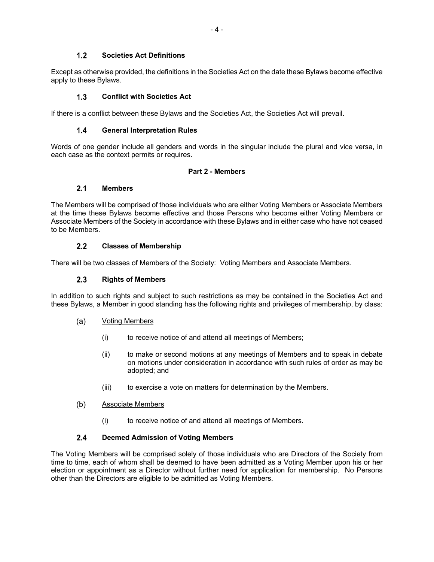## $1.2$ **Societies Act Definitions**

Except as otherwise provided, the definitions in the Societies Act on the date these Bylaws become effective apply to these Bylaws.

## $1.3$ **Conflict with Societies Act**

If there is a conflict between these Bylaws and the Societies Act, the Societies Act will prevail.

## $1.4$ **General Interpretation Rules**

Words of one gender include all genders and words in the singular include the plural and vice versa, in each case as the context permits or requires.

## **Part 2 - Members**

## $2.1$ **Members**

The Members will be comprised of those individuals who are either Voting Members or Associate Members at the time these Bylaws become effective and those Persons who become either Voting Members or Associate Members of the Society in accordance with these Bylaws and in either case who have not ceased to be Members.

## $2.2$ **Classes of Membership**

There will be two classes of Members of the Society: Voting Members and Associate Members.

## $2.3$ **Rights of Members**

In addition to such rights and subject to such restrictions as may be contained in the Societies Act and these Bylaws, a Member in good standing has the following rights and privileges of membership, by class:

## (a) Voting Members

- (i) to receive notice of and attend all meetings of Members;
- (ii) to make or second motions at any meetings of Members and to speak in debate on motions under consideration in accordance with such rules of order as may be adopted; and
- (iii) to exercise a vote on matters for determination by the Members.

## $(b)$ Associate Members

(i) to receive notice of and attend all meetings of Members.

## $2.4$ **Deemed Admission of Voting Members**

The Voting Members will be comprised solely of those individuals who are Directors of the Society from time to time, each of whom shall be deemed to have been admitted as a Voting Member upon his or her election or appointment as a Director without further need for application for membership. No Persons other than the Directors are eligible to be admitted as Voting Members.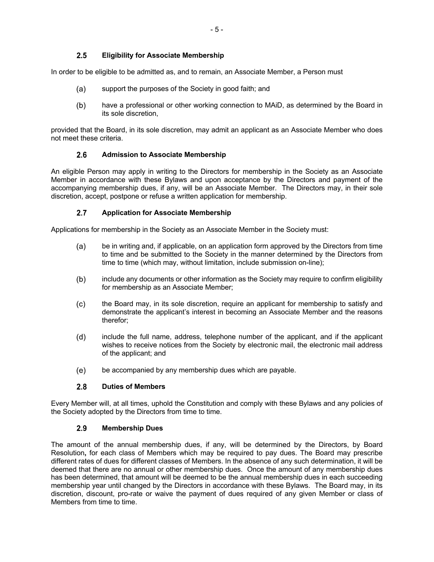## $2.5$ **Eligibility for Associate Membership**

In order to be eligible to be admitted as, and to remain, an Associate Member, a Person must

- support the purposes of the Society in good faith; and  $(a)$
- $(b)$ have a professional or other working connection to MAiD, as determined by the Board in its sole discretion,

provided that the Board, in its sole discretion, may admit an applicant as an Associate Member who does not meet these criteria.

#### $2.6$ **Admission to Associate Membership**

An eligible Person may apply in writing to the Directors for membership in the Society as an Associate Member in accordance with these Bylaws and upon acceptance by the Directors and payment of the accompanying membership dues, if any, will be an Associate Member. The Directors may, in their sole discretion, accept, postpone or refuse a written application for membership.

#### $2.7$ **Application for Associate Membership**

Applications for membership in the Society as an Associate Member in the Society must:

- $(a)$ be in writing and, if applicable, on an application form approved by the Directors from time to time and be submitted to the Society in the manner determined by the Directors from time to time (which may, without limitation, include submission on-line);
- include any documents or other information as the Society may require to confirm eligibility  $(b)$ for membership as an Associate Member;
- $(c)$ the Board may, in its sole discretion, require an applicant for membership to satisfy and demonstrate the applicant's interest in becoming an Associate Member and the reasons therefor;
- $(d)$ include the full name, address, telephone number of the applicant, and if the applicant wishes to receive notices from the Society by electronic mail, the electronic mail address of the applicant; and
- $(e)$ be accompanied by any membership dues which are payable.

## $2.8$ **Duties of Members**

Every Member will, at all times, uphold the Constitution and comply with these Bylaws and any policies of the Society adopted by the Directors from time to time.

#### $2.9$ **Membership Dues**

The amount of the annual membership dues, if any, will be determined by the Directors, by Board Resolution**,** for each class of Members which may be required to pay dues. The Board may prescribe different rates of dues for different classes of Members. In the absence of any such determination, it will be deemed that there are no annual or other membership dues. Once the amount of any membership dues has been determined, that amount will be deemed to be the annual membership dues in each succeeding membership year until changed by the Directors in accordance with these Bylaws. The Board may, in its discretion, discount, pro-rate or waive the payment of dues required of any given Member or class of Members from time to time.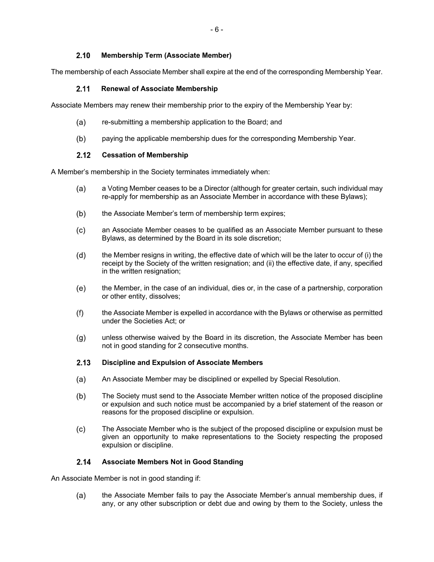## $2.10$ **Membership Term (Associate Member)**

The membership of each Associate Member shall expire at the end of the corresponding Membership Year.

## **Renewal of Associate Membership**   $2.11$

Associate Members may renew their membership prior to the expiry of the Membership Year by:

- re-submitting a membership application to the Board; and  $(a)$
- $(b)$ paying the applicable membership dues for the corresponding Membership Year.

## $2.12$ **Cessation of Membership**

A Member's membership in the Society terminates immediately when:

- a Voting Member ceases to be a Director (although for greater certain, such individual may (a) re-apply for membership as an Associate Member in accordance with these Bylaws);
- $(b)$ the Associate Member's term of membership term expires;
- an Associate Member ceases to be qualified as an Associate Member pursuant to these  $(c)$ Bylaws, as determined by the Board in its sole discretion;
- $(d)$ the Member resigns in writing, the effective date of which will be the later to occur of (i) the receipt by the Society of the written resignation; and (ii) the effective date, if any, specified in the written resignation;
- $(e)$ the Member, in the case of an individual, dies or, in the case of a partnership, corporation or other entity, dissolves;
- the Associate Member is expelled in accordance with the Bylaws or otherwise as permitted  $(f)$ under the Societies Act; or
- unless otherwise waived by the Board in its discretion, the Associate Member has been  $(g)$ not in good standing for 2 consecutive months.

## $2.13$ **Discipline and Expulsion of Associate Members**

- $(a)$ An Associate Member may be disciplined or expelled by Special Resolution.
- $(b)$ The Society must send to the Associate Member written notice of the proposed discipline or expulsion and such notice must be accompanied by a brief statement of the reason or reasons for the proposed discipline or expulsion.
- $(c)$ The Associate Member who is the subject of the proposed discipline or expulsion must be given an opportunity to make representations to the Society respecting the proposed expulsion or discipline.

## $2.14$ **Associate Members Not in Good Standing**

An Associate Member is not in good standing if:

(a) the Associate Member fails to pay the Associate Member's annual membership dues, if any, or any other subscription or debt due and owing by them to the Society, unless the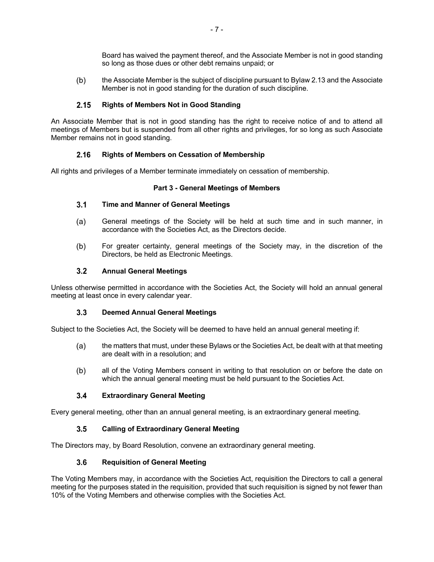Board has waived the payment thereof, and the Associate Member is not in good standing so long as those dues or other debt remains unpaid; or

 $(b)$ the Associate Member is the subject of discipline pursuant to Bylaw 2.13 and the Associate Member is not in good standing for the duration of such discipline.

## $2.15$ **Rights of Members Not in Good Standing**

An Associate Member that is not in good standing has the right to receive notice of and to attend all meetings of Members but is suspended from all other rights and privileges, for so long as such Associate Member remains not in good standing.

## $2.16$ **Rights of Members on Cessation of Membership**

All rights and privileges of a Member terminate immediately on cessation of membership.

## **Part 3 - General Meetings of Members**

## $3.1$ **Time and Manner of General Meetings**

- $(a)$ General meetings of the Society will be held at such time and in such manner, in accordance with the Societies Act, as the Directors decide.
- $(b)$ For greater certainty, general meetings of the Society may, in the discretion of the Directors, be held as Electronic Meetings.

#### $3.2$ **Annual General Meetings**

Unless otherwise permitted in accordance with the Societies Act, the Society will hold an annual general meeting at least once in every calendar year.

## $3.3$ **Deemed Annual General Meetings**

Subject to the Societies Act, the Society will be deemed to have held an annual general meeting if:

- the matters that must, under these Bylaws or the Societies Act, be dealt with at that meeting  $(a)$ are dealt with in a resolution; and
- $(b)$ all of the Voting Members consent in writing to that resolution on or before the date on which the annual general meeting must be held pursuant to the Societies Act.

## $3.4$ **Extraordinary General Meeting**

Every general meeting, other than an annual general meeting, is an extraordinary general meeting.

## $3.5$ **Calling of Extraordinary General Meeting**

The Directors may, by Board Resolution, convene an extraordinary general meeting.

## $3.6$ **Requisition of General Meeting**

The Voting Members may, in accordance with the Societies Act, requisition the Directors to call a general meeting for the purposes stated in the requisition, provided that such requisition is signed by not fewer than 10% of the Voting Members and otherwise complies with the Societies Act.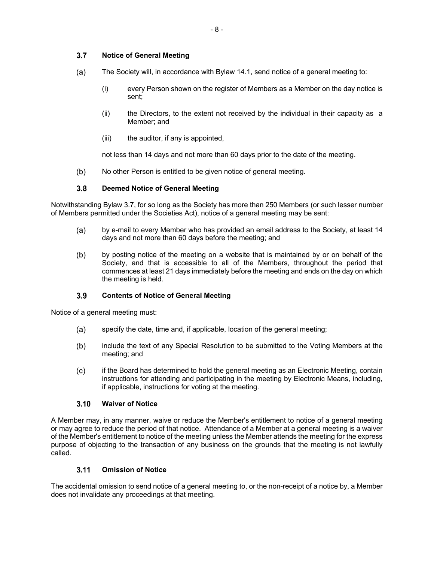## $3.7$ **Notice of General Meeting**

- $(a)$ The Society will, in accordance with Bylaw 14.1, send notice of a general meeting to:
	- (i) every Person shown on the register of Members as a Member on the day notice is sent;
	- (ii) the Directors, to the extent not received by the individual in their capacity as a Member; and
	- (iii) the auditor, if any is appointed,

not less than 14 days and not more than 60 days prior to the date of the meeting.

 $(b)$ No other Person is entitled to be given notice of general meeting.

## $3.8$ **Deemed Notice of General Meeting**

Notwithstanding Bylaw 3.7, for so long as the Society has more than 250 Members (or such lesser number of Members permitted under the Societies Act), notice of a general meeting may be sent:

- by e-mail to every Member who has provided an email address to the Society, at least 14  $(a)$ days and not more than 60 days before the meeting; and
- $(b)$ by posting notice of the meeting on a website that is maintained by or on behalf of the Society, and that is accessible to all of the Members, throughout the period that commences at least 21 days immediately before the meeting and ends on the day on which the meeting is held.

## $3.9$ **Contents of Notice of General Meeting**

Notice of a general meeting must:

- (a) specify the date, time and, if applicable, location of the general meeting;
- $(b)$ include the text of any Special Resolution to be submitted to the Voting Members at the meeting; and
- $(c)$ if the Board has determined to hold the general meeting as an Electronic Meeting, contain instructions for attending and participating in the meeting by Electronic Means, including, if applicable, instructions for voting at the meeting.

## $3.10$ **Waiver of Notice**

A Member may, in any manner, waive or reduce the Member's entitlement to notice of a general meeting or may agree to reduce the period of that notice. Attendance of a Member at a general meeting is a waiver of the Member's entitlement to notice of the meeting unless the Member attends the meeting for the express purpose of objecting to the transaction of any business on the grounds that the meeting is not lawfully called.

#### $3.11$ **Omission of Notice**

The accidental omission to send notice of a general meeting to, or the non-receipt of a notice by, a Member does not invalidate any proceedings at that meeting.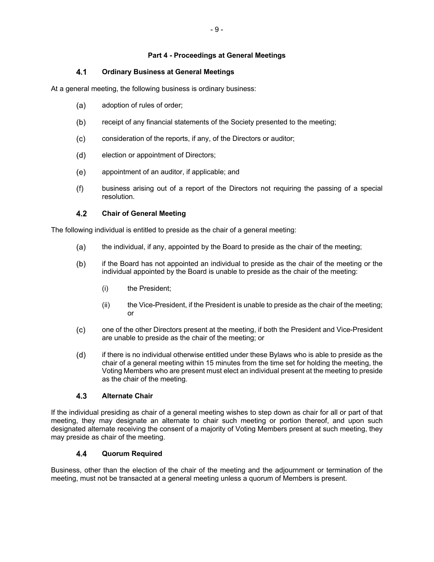## **Part 4 - Proceedings at General Meetings**

## $4.1$ **Ordinary Business at General Meetings**

At a general meeting, the following business is ordinary business:

- $(a)$ adoption of rules of order;
- $(b)$ receipt of any financial statements of the Society presented to the meeting;
- $(c)$ consideration of the reports, if any, of the Directors or auditor;
- election or appointment of Directors;  $(d)$
- (e) appointment of an auditor, if applicable; and
- $(f)$ business arising out of a report of the Directors not requiring the passing of a special resolution.

## 4.2 **Chair of General Meeting**

The following individual is entitled to preside as the chair of a general meeting:

- $(a)$ the individual, if any, appointed by the Board to preside as the chair of the meeting;
- $(b)$ if the Board has not appointed an individual to preside as the chair of the meeting or the individual appointed by the Board is unable to preside as the chair of the meeting:
	- (i) the President;
	- (ii) the Vice-President, if the President is unable to preside as the chair of the meeting; or
- one of the other Directors present at the meeting, if both the President and Vice-President  $(c)$ are unable to preside as the chair of the meeting; or
- $(d)$ if there is no individual otherwise entitled under these Bylaws who is able to preside as the chair of a general meeting within 15 minutes from the time set for holding the meeting, the Voting Members who are present must elect an individual present at the meeting to preside as the chair of the meeting.

## $4.3$ **Alternate Chair**

If the individual presiding as chair of a general meeting wishes to step down as chair for all or part of that meeting, they may designate an alternate to chair such meeting or portion thereof, and upon such designated alternate receiving the consent of a majority of Voting Members present at such meeting, they may preside as chair of the meeting.

## 4.4 **Quorum Required**

Business, other than the election of the chair of the meeting and the adjournment or termination of the meeting, must not be transacted at a general meeting unless a quorum of Members is present.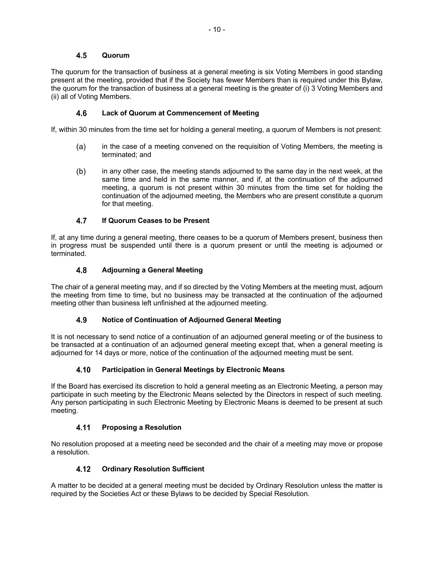## 4.5 **Quorum**

The quorum for the transaction of business at a general meeting is six Voting Members in good standing present at the meeting, provided that if the Society has fewer Members than is required under this Bylaw, the quorum for the transaction of business at a general meeting is the greater of (i) 3 Voting Members and (ii) all of Voting Members.

## 4.6 **Lack of Quorum at Commencement of Meeting**

If, within 30 minutes from the time set for holding a general meeting, a quorum of Members is not present:

- $(a)$ in the case of a meeting convened on the requisition of Voting Members, the meeting is terminated; and
- $(b)$ in any other case, the meeting stands adjourned to the same day in the next week, at the same time and held in the same manner, and if, at the continuation of the adjourned meeting, a quorum is not present within 30 minutes from the time set for holding the continuation of the adjourned meeting, the Members who are present constitute a quorum for that meeting.

## 4.7 **If Quorum Ceases to be Present**

If, at any time during a general meeting, there ceases to be a quorum of Members present, business then in progress must be suspended until there is a quorum present or until the meeting is adjourned or terminated.

## 4.8 **Adjourning a General Meeting**

The chair of a general meeting may, and if so directed by the Voting Members at the meeting must, adjourn the meeting from time to time, but no business may be transacted at the continuation of the adjourned meeting other than business left unfinished at the adjourned meeting.

## 4.9 **Notice of Continuation of Adjourned General Meeting**

It is not necessary to send notice of a continuation of an adjourned general meeting or of the business to be transacted at a continuation of an adjourned general meeting except that, when a general meeting is adjourned for 14 days or more, notice of the continuation of the adjourned meeting must be sent.

## **Participation in General Meetings by Electronic Means** 4.10

If the Board has exercised its discretion to hold a general meeting as an Electronic Meeting, a person may participate in such meeting by the Electronic Means selected by the Directors in respect of such meeting. Any person participating in such Electronic Meeting by Electronic Means is deemed to be present at such meeting.

## 4.11 **Proposing a Resolution**

No resolution proposed at a meeting need be seconded and the chair of a meeting may move or propose a resolution.

## 4.12 **Ordinary Resolution Sufficient**

A matter to be decided at a general meeting must be decided by Ordinary Resolution unless the matter is required by the Societies Act or these Bylaws to be decided by Special Resolution.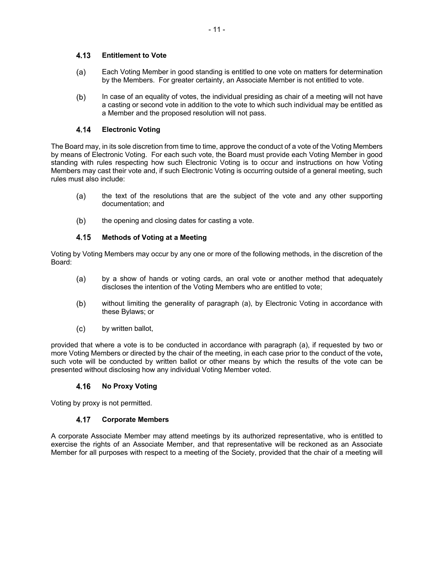## $4.13$ **Entitlement to Vote**

- (a) Each Voting Member in good standing is entitled to one vote on matters for determination by the Members. For greater certainty, an Associate Member is not entitled to vote.
- $(b)$ In case of an equality of votes, the individual presiding as chair of a meeting will not have a casting or second vote in addition to the vote to which such individual may be entitled as a Member and the proposed resolution will not pass.

## 4.14 **Electronic Voting**

The Board may, in its sole discretion from time to time, approve the conduct of a vote of the Voting Members by means of Electronic Voting. For each such vote, the Board must provide each Voting Member in good standing with rules respecting how such Electronic Voting is to occur and instructions on how Voting Members may cast their vote and, if such Electronic Voting is occurring outside of a general meeting, such rules must also include:

- the text of the resolutions that are the subject of the vote and any other supporting  $(a)$ documentation; and
- $(b)$ the opening and closing dates for casting a vote.

## 4.15 **Methods of Voting at a Meeting**

Voting by Voting Members may occur by any one or more of the following methods, in the discretion of the Board:

- $(a)$ by a show of hands or voting cards, an oral vote or another method that adequately discloses the intention of the Voting Members who are entitled to vote;
- $(b)$ without limiting the generality of paragraph (a), by Electronic Voting in accordance with these Bylaws; or
- $(c)$ by written ballot,

provided that where a vote is to be conducted in accordance with paragraph (a), if requested by two or more Voting Members or directed by the chair of the meeting, in each case prior to the conduct of the vote**,** such vote will be conducted by written ballot or other means by which the results of the vote can be presented without disclosing how any individual Voting Member voted.

## $4.16$ **No Proxy Voting**

Voting by proxy is not permitted.

## 4.17 **Corporate Members**

A corporate Associate Member may attend meetings by its authorized representative, who is entitled to exercise the rights of an Associate Member, and that representative will be reckoned as an Associate Member for all purposes with respect to a meeting of the Society, provided that the chair of a meeting will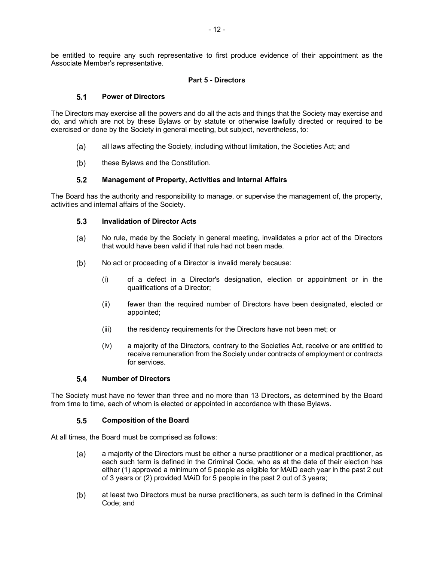be entitled to require any such representative to first produce evidence of their appointment as the Associate Member's representative.

## **Part 5 - Directors**

#### $5.1$ **Power of Directors**

The Directors may exercise all the powers and do all the acts and things that the Society may exercise and do, and which are not by these Bylaws or by statute or otherwise lawfully directed or required to be exercised or done by the Society in general meeting, but subject, nevertheless, to:

- $(a)$ all laws affecting the Society, including without limitation, the Societies Act; and
- $(b)$ these Bylaws and the Constitution.

## $5.2$ **Management of Property, Activities and Internal Affairs**

The Board has the authority and responsibility to manage, or supervise the management of, the property, activities and internal affairs of the Society.

#### $5.3$ **Invalidation of Director Acts**

- $(a)$ No rule, made by the Society in general meeting, invalidates a prior act of the Directors that would have been valid if that rule had not been made.
- $(b)$ No act or proceeding of a Director is invalid merely because:
	- (i) of a defect in a Director's designation, election or appointment or in the qualifications of a Director;
	- (ii) fewer than the required number of Directors have been designated, elected or appointed;
	- (iii) the residency requirements for the Directors have not been met; or
	- (iv) a majority of the Directors, contrary to the Societies Act, receive or are entitled to receive remuneration from the Society under contracts of employment or contracts for services.

#### $5.4$ **Number of Directors**

The Society must have no fewer than three and no more than 13 Directors, as determined by the Board from time to time, each of whom is elected or appointed in accordance with these Bylaws.

#### $5.5$ **Composition of the Board**

At all times, the Board must be comprised as follows:

- a majority of the Directors must be either a nurse practitioner or a medical practitioner, as  $(a)$ each such term is defined in the Criminal Code, who as at the date of their election has either (1) approved a minimum of 5 people as eligible for MAiD each year in the past 2 out of 3 years or (2) provided MAiD for 5 people in the past 2 out of 3 years;
- $(b)$ at least two Directors must be nurse practitioners, as such term is defined in the Criminal Code; and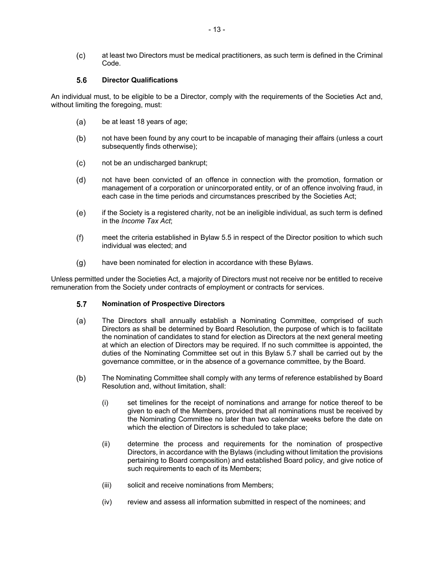$(c)$ at least two Directors must be medical practitioners, as such term is defined in the Criminal Code.

#### $5.6$ **Director Qualifications**

An individual must, to be eligible to be a Director, comply with the requirements of the Societies Act and, without limiting the foregoing, must:

- $(a)$ be at least 18 years of age;
- $(b)$ not have been found by any court to be incapable of managing their affairs (unless a court subsequently finds otherwise);
- $(c)$ not be an undischarged bankrupt;
- $(d)$ not have been convicted of an offence in connection with the promotion, formation or management of a corporation or unincorporated entity, or of an offence involving fraud, in each case in the time periods and circumstances prescribed by the Societies Act;
- $(e)$ if the Society is a registered charity, not be an ineligible individual, as such term is defined in the *Income Tax Act*;
- $(f)$ meet the criteria established in Bylaw 5.5 in respect of the Director position to which such individual was elected; and
- $(q)$ have been nominated for election in accordance with these Bylaws.

Unless permitted under the Societies Act, a majority of Directors must not receive nor be entitled to receive remuneration from the Society under contracts of employment or contracts for services.

#### $5.7$ **Nomination of Prospective Directors**

- The Directors shall annually establish a Nominating Committee, comprised of such (a) Directors as shall be determined by Board Resolution, the purpose of which is to facilitate the nomination of candidates to stand for election as Directors at the next general meeting at which an election of Directors may be required. If no such committee is appointed, the duties of the Nominating Committee set out in this Bylaw 5.7 shall be carried out by the governance committee, or in the absence of a governance committee, by the Board.
- $(b)$ The Nominating Committee shall comply with any terms of reference established by Board Resolution and, without limitation, shall:
	- (i) set timelines for the receipt of nominations and arrange for notice thereof to be given to each of the Members, provided that all nominations must be received by the Nominating Committee no later than two calendar weeks before the date on which the election of Directors is scheduled to take place;
	- (ii) determine the process and requirements for the nomination of prospective Directors, in accordance with the Bylaws (including without limitation the provisions pertaining to Board composition) and established Board policy, and give notice of such requirements to each of its Members;
	- (iii) solicit and receive nominations from Members;
	- (iv) review and assess all information submitted in respect of the nominees; and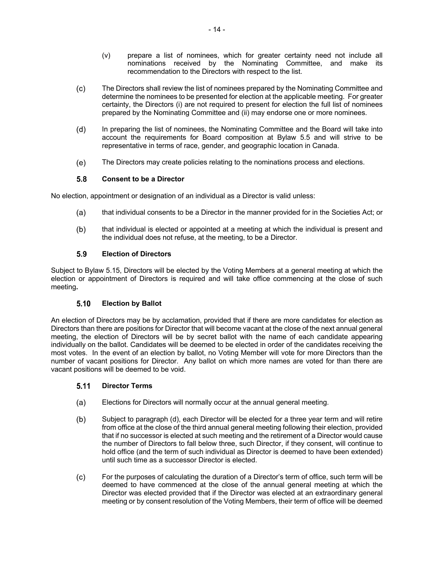- (v) prepare a list of nominees, which for greater certainty need not include all nominations received by the Nominating Committee, and make its recommendation to the Directors with respect to the list.
- $(c)$ The Directors shall review the list of nominees prepared by the Nominating Committee and determine the nominees to be presented for election at the applicable meeting. For greater certainty, the Directors (i) are not required to present for election the full list of nominees prepared by the Nominating Committee and (ii) may endorse one or more nominees.
- $(d)$ In preparing the list of nominees, the Nominating Committee and the Board will take into account the requirements for Board composition at Bylaw 5.5 and will strive to be representative in terms of race, gender, and geographic location in Canada.
- (e) The Directors may create policies relating to the nominations process and elections.

## 5.8 **Consent to be a Director**

No election, appointment or designation of an individual as a Director is valid unless:

- that individual consents to be a Director in the manner provided for in the Societies Act; or (a)
- $(b)$ that individual is elected or appointed at a meeting at which the individual is present and the individual does not refuse, at the meeting, to be a Director.

## 5.9 **Election of Directors**

Subject to Bylaw 5.15, Directors will be elected by the Voting Members at a general meeting at which the election or appointment of Directors is required and will take office commencing at the close of such meeting**.**

## $5.10$ **Election by Ballot**

An election of Directors may be by acclamation, provided that if there are more candidates for election as Directors than there are positions for Director that will become vacant at the close of the next annual general meeting, the election of Directors will be by secret ballot with the name of each candidate appearing individually on the ballot. Candidates will be deemed to be elected in order of the candidates receiving the most votes. In the event of an election by ballot, no Voting Member will vote for more Directors than the number of vacant positions for Director. Any ballot on which more names are voted for than there are vacant positions will be deemed to be void.

## $5.11$ **Director Terms**

- Elections for Directors will normally occur at the annual general meeting. (a)
- $(b)$ Subject to paragraph (d), each Director will be elected for a three year term and will retire from office at the close of the third annual general meeting following their election, provided that if no successor is elected at such meeting and the retirement of a Director would cause the number of Directors to fall below three, such Director, if they consent, will continue to hold office (and the term of such individual as Director is deemed to have been extended) until such time as a successor Director is elected.
- $(c)$ For the purposes of calculating the duration of a Director's term of office, such term will be deemed to have commenced at the close of the annual general meeting at which the Director was elected provided that if the Director was elected at an extraordinary general meeting or by consent resolution of the Voting Members, their term of office will be deemed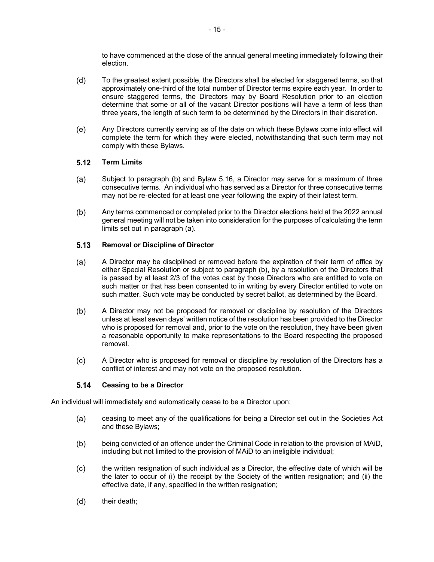to have commenced at the close of the annual general meeting immediately following their election.

- $(d)$ To the greatest extent possible, the Directors shall be elected for staggered terms, so that approximately one-third of the total number of Director terms expire each year. In order to ensure staggered terms, the Directors may by Board Resolution prior to an election determine that some or all of the vacant Director positions will have a term of less than three years, the length of such term to be determined by the Directors in their discretion.
- $(e)$ Any Directors currently serving as of the date on which these Bylaws come into effect will complete the term for which they were elected, notwithstanding that such term may not comply with these Bylaws.

## $5.12$ **Term Limits**

- $(a)$ Subject to paragraph (b) and Bylaw 5.16, a Director may serve for a maximum of three consecutive terms. An individual who has served as a Director for three consecutive terms may not be re-elected for at least one year following the expiry of their latest term.
- $(b)$ Any terms commenced or completed prior to the Director elections held at the 2022 annual general meeting will not be taken into consideration for the purposes of calculating the term limits set out in paragraph (a).

## $5.13$ **Removal or Discipline of Director**

- $(a)$ A Director may be disciplined or removed before the expiration of their term of office by either Special Resolution or subject to paragraph (b), by a resolution of the Directors that is passed by at least 2/3 of the votes cast by those Directors who are entitled to vote on such matter or that has been consented to in writing by every Director entitled to vote on such matter. Such vote may be conducted by secret ballot, as determined by the Board.
- $(b)$ A Director may not be proposed for removal or discipline by resolution of the Directors unless at least seven days' written notice of the resolution has been provided to the Director who is proposed for removal and, prior to the vote on the resolution, they have been given a reasonable opportunity to make representations to the Board respecting the proposed removal.
- A Director who is proposed for removal or discipline by resolution of the Directors has a  $(c)$ conflict of interest and may not vote on the proposed resolution.

## $5.14$ **Ceasing to be a Director**

An individual will immediately and automatically cease to be a Director upon:

- ceasing to meet any of the qualifications for being a Director set out in the Societies Act (a) and these Bylaws;
- $(b)$ being convicted of an offence under the Criminal Code in relation to the provision of MAiD, including but not limited to the provision of MAiD to an ineligible individual;
- $(c)$ the written resignation of such individual as a Director, the effective date of which will be the later to occur of (i) the receipt by the Society of the written resignation; and (ii) the effective date, if any, specified in the written resignation;
- $(d)$ their death;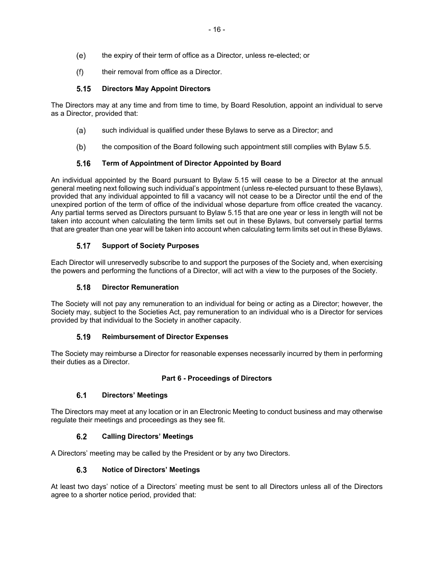- $(e)$ the expiry of their term of office as a Director, unless re-elected; or
- $(f)$ their removal from office as a Director.

## **Directors May Appoint Directors**   $5.15$

The Directors may at any time and from time to time, by Board Resolution, appoint an individual to serve as a Director, provided that:

- such individual is qualified under these Bylaws to serve as a Director; and  $(a)$
- $(b)$ the composition of the Board following such appointment still complies with Bylaw 5.5.

## **Term of Appointment of Director Appointed by Board**  $5.16$

An individual appointed by the Board pursuant to Bylaw 5.15 will cease to be a Director at the annual general meeting next following such individual's appointment (unless re-elected pursuant to these Bylaws), provided that any individual appointed to fill a vacancy will not cease to be a Director until the end of the unexpired portion of the term of office of the individual whose departure from office created the vacancy. Any partial terms served as Directors pursuant to Bylaw 5.15 that are one year or less in length will not be taken into account when calculating the term limits set out in these Bylaws, but conversely partial terms that are greater than one year will be taken into account when calculating term limits set out in these Bylaws.

## $5.17$ **Support of Society Purposes**

Each Director will unreservedly subscribe to and support the purposes of the Society and, when exercising the powers and performing the functions of a Director, will act with a view to the purposes of the Society.

## $5.18$ **Director Remuneration**

The Society will not pay any remuneration to an individual for being or acting as a Director; however, the Society may, subject to the Societies Act, pay remuneration to an individual who is a Director for services provided by that individual to the Society in another capacity.

## $5.19$ **Reimbursement of Director Expenses**

The Society may reimburse a Director for reasonable expenses necessarily incurred by them in performing their duties as a Director.

## **Part 6 - Proceedings of Directors**

## $6.1$ **Directors' Meetings**

The Directors may meet at any location or in an Electronic Meeting to conduct business and may otherwise regulate their meetings and proceedings as they see fit.

## $6.2$ **Calling Directors' Meetings**

A Directors' meeting may be called by the President or by any two Directors.

## $6.3$ **Notice of Directors' Meetings**

At least two days' notice of a Directors' meeting must be sent to all Directors unless all of the Directors agree to a shorter notice period, provided that: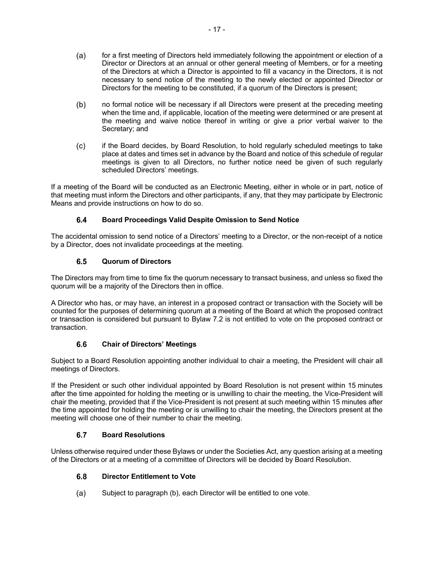- $(a)$ for a first meeting of Directors held immediately following the appointment or election of a Director or Directors at an annual or other general meeting of Members, or for a meeting of the Directors at which a Director is appointed to fill a vacancy in the Directors, it is not necessary to send notice of the meeting to the newly elected or appointed Director or Directors for the meeting to be constituted, if a quorum of the Directors is present;
- $(b)$ no formal notice will be necessary if all Directors were present at the preceding meeting when the time and, if applicable, location of the meeting were determined or are present at the meeting and waive notice thereof in writing or give a prior verbal waiver to the Secretary; and
- $(c)$ if the Board decides, by Board Resolution, to hold regularly scheduled meetings to take place at dates and times set in advance by the Board and notice of this schedule of regular meetings is given to all Directors, no further notice need be given of such regularly scheduled Directors' meetings.

If a meeting of the Board will be conducted as an Electronic Meeting, either in whole or in part, notice of that meeting must inform the Directors and other participants, if any, that they may participate by Electronic Means and provide instructions on how to do so.

## $6.4$ **Board Proceedings Valid Despite Omission to Send Notice**

The accidental omission to send notice of a Directors' meeting to a Director, or the non-receipt of a notice by a Director, does not invalidate proceedings at the meeting.

## $6.5$ **Quorum of Directors**

The Directors may from time to time fix the quorum necessary to transact business, and unless so fixed the quorum will be a majority of the Directors then in office.

A Director who has, or may have, an interest in a proposed contract or transaction with the Society will be counted for the purposes of determining quorum at a meeting of the Board at which the proposed contract or transaction is considered but pursuant to Bylaw 7.2 is not entitled to vote on the proposed contract or transaction.

## $6.6$ **Chair of Directors' Meetings**

Subject to a Board Resolution appointing another individual to chair a meeting, the President will chair all meetings of Directors.

If the President or such other individual appointed by Board Resolution is not present within 15 minutes after the time appointed for holding the meeting or is unwilling to chair the meeting, the Vice-President will chair the meeting, provided that if the Vice-President is not present at such meeting within 15 minutes after the time appointed for holding the meeting or is unwilling to chair the meeting, the Directors present at the meeting will choose one of their number to chair the meeting.

## $6.7$ **Board Resolutions**

Unless otherwise required under these Bylaws or under the Societies Act, any question arising at a meeting of the Directors or at a meeting of a committee of Directors will be decided by Board Resolution.

## $6.8$ **Director Entitlement to Vote**

Subject to paragraph (b), each Director will be entitled to one vote. $(a)$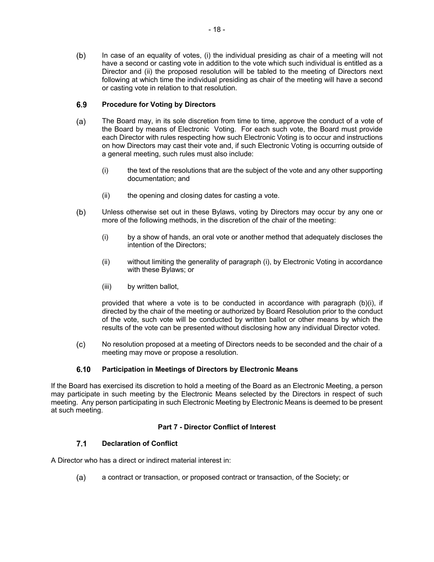$(b)$ In case of an equality of votes, (i) the individual presiding as chair of a meeting will not have a second or casting vote in addition to the vote which such individual is entitled as a Director and (ii) the proposed resolution will be tabled to the meeting of Directors next following at which time the individual presiding as chair of the meeting will have a second or casting vote in relation to that resolution.

## $6.9$ **Procedure for Voting by Directors**

- $(a)$ The Board may, in its sole discretion from time to time, approve the conduct of a vote of the Board by means of Electronic Voting. For each such vote, the Board must provide each Director with rules respecting how such Electronic Voting is to occur and instructions on how Directors may cast their vote and, if such Electronic Voting is occurring outside of a general meeting, such rules must also include:
	- (i) the text of the resolutions that are the subject of the vote and any other supporting documentation; and
	- (ii) the opening and closing dates for casting a vote.
- $(b)$ Unless otherwise set out in these Bylaws, voting by Directors may occur by any one or more of the following methods, in the discretion of the chair of the meeting:
	- (i) by a show of hands, an oral vote or another method that adequately discloses the intention of the Directors;
	- (ii) without limiting the generality of paragraph (i), by Electronic Voting in accordance with these Bylaws; or
	- (iii) by written ballot,

provided that where a vote is to be conducted in accordance with paragraph (b)(i), if directed by the chair of the meeting or authorized by Board Resolution prior to the conduct of the vote, such vote will be conducted by written ballot or other means by which the results of the vote can be presented without disclosing how any individual Director voted.

No resolution proposed at a meeting of Directors needs to be seconded and the chair of a  $(c)$ meeting may move or propose a resolution.

## $6.10$ **Participation in Meetings of Directors by Electronic Means**

If the Board has exercised its discretion to hold a meeting of the Board as an Electronic Meeting, a person may participate in such meeting by the Electronic Means selected by the Directors in respect of such meeting. Any person participating in such Electronic Meeting by Electronic Means is deemed to be present at such meeting.

## **Part 7 - Director Conflict of Interest**

## $7.1$ **Declaration of Conflict**

A Director who has a direct or indirect material interest in:

a contract or transaction, or proposed contract or transaction, of the Society; or(a)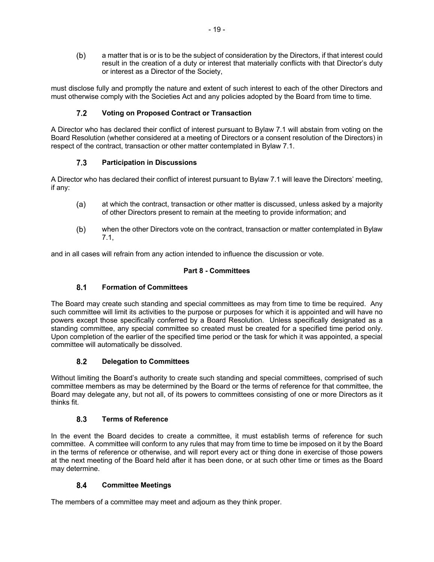$(b)$ a matter that is or is to be the subject of consideration by the Directors, if that interest could result in the creation of a duty or interest that materially conflicts with that Director's duty or interest as a Director of the Society,

must disclose fully and promptly the nature and extent of such interest to each of the other Directors and must otherwise comply with the Societies Act and any policies adopted by the Board from time to time.

## $7.2$ **Voting on Proposed Contract or Transaction**

A Director who has declared their conflict of interest pursuant to Bylaw 7.1 will abstain from voting on the Board Resolution (whether considered at a meeting of Directors or a consent resolution of the Directors) in respect of the contract, transaction or other matter contemplated in Bylaw 7.1.

## $7.3$ **Participation in Discussions**

A Director who has declared their conflict of interest pursuant to Bylaw 7.1 will leave the Directors' meeting, if any:

- $(a)$ at which the contract, transaction or other matter is discussed, unless asked by a majority of other Directors present to remain at the meeting to provide information; and
- $(b)$ when the other Directors vote on the contract, transaction or matter contemplated in Bylaw 7.1,

and in all cases will refrain from any action intended to influence the discussion or vote.

## **Part 8 - Committees**

## $8.1$ **Formation of Committees**

The Board may create such standing and special committees as may from time to time be required. Any such committee will limit its activities to the purpose or purposes for which it is appointed and will have no powers except those specifically conferred by a Board Resolution. Unless specifically designated as a standing committee, any special committee so created must be created for a specified time period only. Upon completion of the earlier of the specified time period or the task for which it was appointed, a special committee will automatically be dissolved.

## $8.2$ **Delegation to Committees**

Without limiting the Board's authority to create such standing and special committees, comprised of such committee members as may be determined by the Board or the terms of reference for that committee, the Board may delegate any, but not all, of its powers to committees consisting of one or more Directors as it thinks fit.

## $8.3$ **Terms of Reference**

In the event the Board decides to create a committee, it must establish terms of reference for such committee. A committee will conform to any rules that may from time to time be imposed on it by the Board in the terms of reference or otherwise, and will report every act or thing done in exercise of those powers at the next meeting of the Board held after it has been done, or at such other time or times as the Board may determine.

## $8.4$ **Committee Meetings**

The members of a committee may meet and adjourn as they think proper.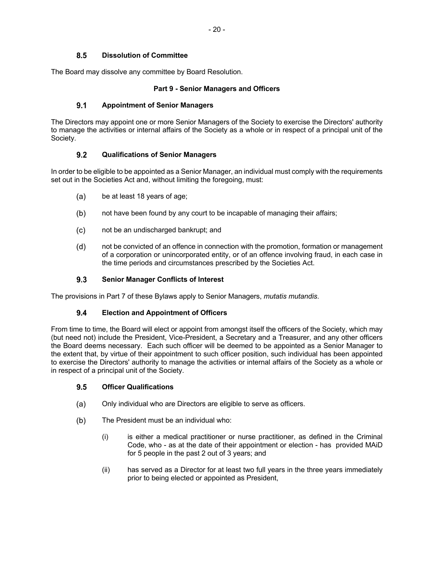## 8.5 **Dissolution of Committee**

The Board may dissolve any committee by Board Resolution.

## **Part 9 - Senior Managers and Officers**

#### $9.1$ **Appointment of Senior Managers**

The Directors may appoint one or more Senior Managers of the Society to exercise the Directors' authority to manage the activities or internal affairs of the Society as a whole or in respect of a principal unit of the Society.

#### $9.2$ **Qualifications of Senior Managers**

In order to be eligible to be appointed as a Senior Manager, an individual must comply with the requirements set out in the Societies Act and, without limiting the foregoing, must:

- $(a)$ be at least 18 years of age;
- $(b)$ not have been found by any court to be incapable of managing their affairs;
- not be an undischarged bankrupt; and  $(c)$
- $(d)$ not be convicted of an offence in connection with the promotion, formation or management of a corporation or unincorporated entity, or of an offence involving fraud, in each case in the time periods and circumstances prescribed by the Societies Act.

#### $9.3$ **Senior Manager Conflicts of Interest**

The provisions in Part 7 of these Bylaws apply to Senior Managers, *mutatis mutandis*.

## $9.4$ **Election and Appointment of Officers**

From time to time, the Board will elect or appoint from amongst itself the officers of the Society, which may (but need not) include the President, Vice-President, a Secretary and a Treasurer, and any other officers the Board deems necessary. Each such officer will be deemed to be appointed as a Senior Manager to the extent that, by virtue of their appointment to such officer position, such individual has been appointed to exercise the Directors' authority to manage the activities or internal affairs of the Society as a whole or in respect of a principal unit of the Society.

#### $9.5$ **Officer Qualifications**

- $(a)$ Only individual who are Directors are eligible to serve as officers.
- $(b)$ The President must be an individual who:
	- (i) is either a medical practitioner or nurse practitioner, as defined in the Criminal Code, who - as at the date of their appointment or election - has provided MAiD for 5 people in the past 2 out of 3 years; and
	- (ii) has served as a Director for at least two full years in the three years immediately prior to being elected or appointed as President,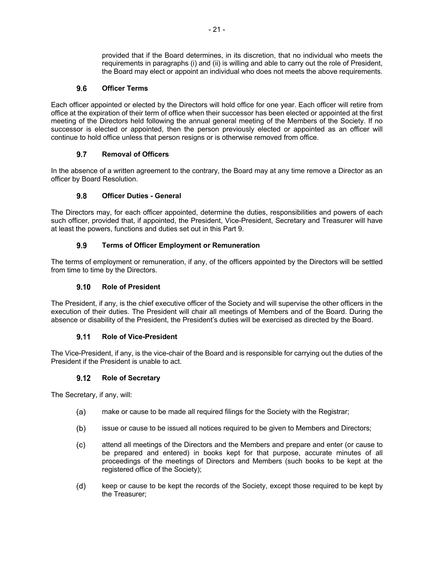provided that if the Board determines, in its discretion, that no individual who meets the requirements in paragraphs (i) and (ii) is willing and able to carry out the role of President, the Board may elect or appoint an individual who does not meets the above requirements.

## $9.6$ **Officer Terms**

Each officer appointed or elected by the Directors will hold office for one year. Each officer will retire from office at the expiration of their term of office when their successor has been elected or appointed at the first meeting of the Directors held following the annual general meeting of the Members of the Society. If no successor is elected or appointed, then the person previously elected or appointed as an officer will continue to hold office unless that person resigns or is otherwise removed from office.

## $9.7$ **Removal of Officers**

In the absence of a written agreement to the contrary, the Board may at any time remove a Director as an officer by Board Resolution.

## $9.8$ **Officer Duties - General**

The Directors may, for each officer appointed, determine the duties, responsibilities and powers of each such officer, provided that, if appointed, the President, Vice-President, Secretary and Treasurer will have at least the powers, functions and duties set out in this Part 9.

## $9.9$ **Terms of Officer Employment or Remuneration**

The terms of employment or remuneration, if any, of the officers appointed by the Directors will be settled from time to time by the Directors.

## $9.10$ **Role of President**

The President, if any, is the chief executive officer of the Society and will supervise the other officers in the execution of their duties. The President will chair all meetings of Members and of the Board. During the absence or disability of the President, the President's duties will be exercised as directed by the Board.

## $9.11$ **Role of Vice-President**

The Vice-President, if any, is the vice-chair of the Board and is responsible for carrying out the duties of the President if the President is unable to act.

## $9.12$ **Role of Secretary**

The Secretary, if any, will:

- make or cause to be made all required filings for the Society with the Registrar; (a)
- $(b)$ issue or cause to be issued all notices required to be given to Members and Directors;
- $(c)$ attend all meetings of the Directors and the Members and prepare and enter (or cause to be prepared and entered) in books kept for that purpose, accurate minutes of all proceedings of the meetings of Directors and Members (such books to be kept at the registered office of the Society);
- $(d)$ keep or cause to be kept the records of the Society, except those required to be kept by the Treasurer;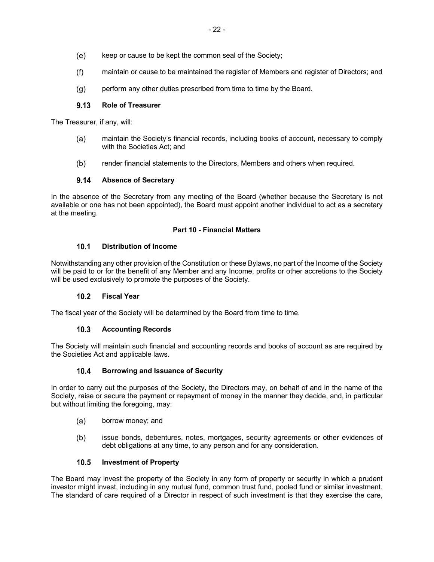- $(e)$ keep or cause to be kept the common seal of the Society;
- $(f)$ maintain or cause to be maintained the register of Members and register of Directors; and
- perform any other duties prescribed from time to time by the Board.  $(a)$

#### $9.13$ **Role of Treasurer**

The Treasurer, if any, will:

- $(a)$ maintain the Society's financial records, including books of account, necessary to comply with the Societies Act; and
- $(b)$ render financial statements to the Directors, Members and others when required.

#### $9.14$ **Absence of Secretary**

In the absence of the Secretary from any meeting of the Board (whether because the Secretary is not available or one has not been appointed), the Board must appoint another individual to act as a secretary at the meeting.

## **Part 10 - Financial Matters**

#### $10.1$ **Distribution of Income**

Notwithstanding any other provision of the Constitution or these Bylaws, no part of the Income of the Society will be paid to or for the benefit of any Member and any Income, profits or other accretions to the Society will be used exclusively to promote the purposes of the Society.

#### $10.2$ **Fiscal Year**

The fiscal year of the Society will be determined by the Board from time to time.

## $10.3$ **Accounting Records**

The Society will maintain such financial and accounting records and books of account as are required by the Societies Act and applicable laws.

#### $10.4$ **Borrowing and Issuance of Security**

In order to carry out the purposes of the Society, the Directors may, on behalf of and in the name of the Society, raise or secure the payment or repayment of money in the manner they decide, and, in particular but without limiting the foregoing, may:

- $(a)$ borrow money; and
- $(b)$ issue bonds, debentures, notes, mortgages, security agreements or other evidences of debt obligations at any time, to any person and for any consideration.

## $10.5$ **Investment of Property**

The Board may invest the property of the Society in any form of property or security in which a prudent investor might invest, including in any mutual fund, common trust fund, pooled fund or similar investment. The standard of care required of a Director in respect of such investment is that they exercise the care,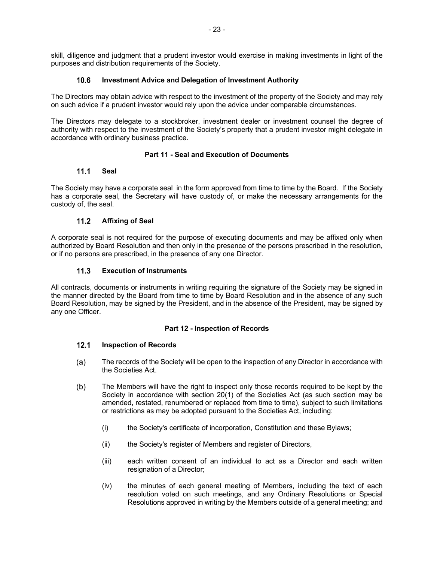skill, diligence and judgment that a prudent investor would exercise in making investments in light of the purposes and distribution requirements of the Society.

## $10.6$ **Investment Advice and Delegation of Investment Authority**

The Directors may obtain advice with respect to the investment of the property of the Society and may rely on such advice if a prudent investor would rely upon the advice under comparable circumstances.

The Directors may delegate to a stockbroker, investment dealer or investment counsel the degree of authority with respect to the investment of the Society's property that a prudent investor might delegate in accordance with ordinary business practice.

## **Part 11 - Seal and Execution of Documents**

## $11.1$ **Seal**

The Society may have a corporate seal in the form approved from time to time by the Board. If the Society has a corporate seal, the Secretary will have custody of, or make the necessary arrangements for the custody of, the seal.

## $11.2$ **Affixing of Seal**

A corporate seal is not required for the purpose of executing documents and may be affixed only when authorized by Board Resolution and then only in the presence of the persons prescribed in the resolution, or if no persons are prescribed, in the presence of any one Director.

## **Execution of Instruments**   $11.3$

All contracts, documents or instruments in writing requiring the signature of the Society may be signed in the manner directed by the Board from time to time by Board Resolution and in the absence of any such Board Resolution, may be signed by the President, and in the absence of the President, may be signed by any one Officer.

## **Part 12 - Inspection of Records**

## $12.1$ **Inspection of Records**

- $(a)$ The records of the Society will be open to the inspection of any Director in accordance with the Societies Act.
- $(b)$ The Members will have the right to inspect only those records required to be kept by the Society in accordance with section 20(1) of the Societies Act (as such section may be amended, restated, renumbered or replaced from time to time), subject to such limitations or restrictions as may be adopted pursuant to the Societies Act, including:
	- (i) the Society's certificate of incorporation, Constitution and these Bylaws;
	- (ii) the Society's register of Members and register of Directors,
	- (iii) each written consent of an individual to act as a Director and each written resignation of a Director;
	- (iv) the minutes of each general meeting of Members, including the text of each resolution voted on such meetings, and any Ordinary Resolutions or Special Resolutions approved in writing by the Members outside of a general meeting; and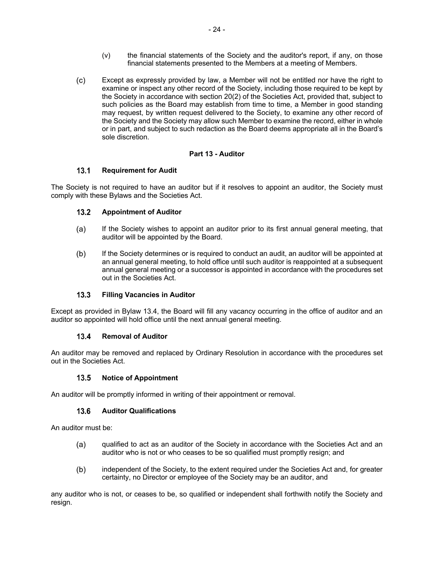- (v) the financial statements of the Society and the auditor's report, if any, on those financial statements presented to the Members at a meeting of Members.
- $(c)$ Except as expressly provided by law, a Member will not be entitled nor have the right to examine or inspect any other record of the Society, including those required to be kept by the Society in accordance with section 20(2) of the Societies Act, provided that, subject to such policies as the Board may establish from time to time, a Member in good standing may request, by written request delivered to the Society, to examine any other record of the Society and the Society may allow such Member to examine the record, either in whole or in part, and subject to such redaction as the Board deems appropriate all in the Board's sole discretion.

## **Part 13 - Auditor**

## $13.1$ **Requirement for Audit**

The Society is not required to have an auditor but if it resolves to appoint an auditor, the Society must comply with these Bylaws and the Societies Act.

## $13.2$ **Appointment of Auditor**

- (a) If the Society wishes to appoint an auditor prior to its first annual general meeting, that auditor will be appointed by the Board.
- $(b)$ If the Society determines or is required to conduct an audit, an auditor will be appointed at an annual general meeting, to hold office until such auditor is reappointed at a subsequent annual general meeting or a successor is appointed in accordance with the procedures set out in the Societies Act.

## $13.3$ **Filling Vacancies in Auditor**

Except as provided in Bylaw 13.4, the Board will fill any vacancy occurring in the office of auditor and an auditor so appointed will hold office until the next annual general meeting.

## $13.4$ **Removal of Auditor**

An auditor may be removed and replaced by Ordinary Resolution in accordance with the procedures set out in the Societies Act.

## $13.5$ **Notice of Appointment**

An auditor will be promptly informed in writing of their appointment or removal.

## **Auditor Qualifications**  $13.6$

An auditor must be:

- $(a)$ qualified to act as an auditor of the Society in accordance with the Societies Act and an auditor who is not or who ceases to be so qualified must promptly resign; and
- $(b)$ independent of the Society, to the extent required under the Societies Act and, for greater certainty, no Director or employee of the Society may be an auditor, and

any auditor who is not, or ceases to be, so qualified or independent shall forthwith notify the Society and resign.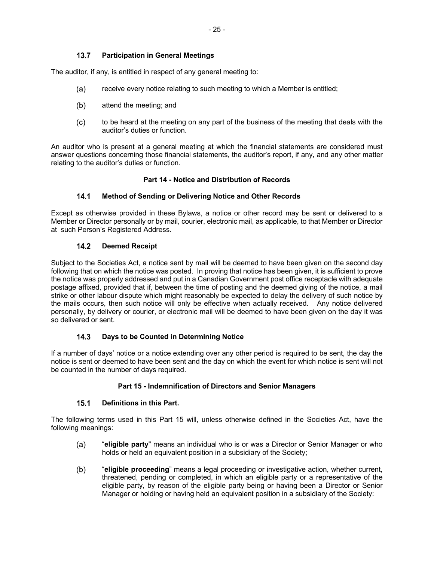## $13.7$ **Participation in General Meetings**

The auditor, if any, is entitled in respect of any general meeting to:

- receive every notice relating to such meeting to which a Member is entitled;  $(a)$
- $(b)$ attend the meeting; and
- to be heard at the meeting on any part of the business of the meeting that deals with the  $(c)$ auditor's duties or function.

An auditor who is present at a general meeting at which the financial statements are considered must answer questions concerning those financial statements, the auditor's report, if any, and any other matter relating to the auditor's duties or function.

## **Part 14 - Notice and Distribution of Records**

#### $14.1$ **Method of Sending or Delivering Notice and Other Records**

Except as otherwise provided in these Bylaws, a notice or other record may be sent or delivered to a Member or Director personally or by mail, courier, electronic mail, as applicable, to that Member or Director at such Person's Registered Address.

#### $14.2$ **Deemed Receipt**

Subject to the Societies Act, a notice sent by mail will be deemed to have been given on the second day following that on which the notice was posted. In proving that notice has been given, it is sufficient to prove the notice was properly addressed and put in a Canadian Government post office receptacle with adequate postage affixed, provided that if, between the time of posting and the deemed giving of the notice, a mail strike or other labour dispute which might reasonably be expected to delay the delivery of such notice by the mails occurs, then such notice will only be effective when actually received. Any notice delivered personally, by delivery or courier, or electronic mail will be deemed to have been given on the day it was so delivered or sent.

## $14.3$ **Days to be Counted in Determining Notice**

If a number of days' notice or a notice extending over any other period is required to be sent, the day the notice is sent or deemed to have been sent and the day on which the event for which notice is sent will not be counted in the number of days required.

## **Part 15 - Indemnification of Directors and Senior Managers**

#### $15.1$ **Definitions in this Part.**

The following terms used in this Part 15 will, unless otherwise defined in the Societies Act, have the following meanings:

- $(a)$ "**eligible party**" means an individual who is or was a Director or Senior Manager or who holds or held an equivalent position in a subsidiary of the Society;
- $(b)$ "**eligible proceeding**" means a legal proceeding or investigative action, whether current, threatened, pending or completed, in which an eligible party or a representative of the eligible party, by reason of the eligible party being or having been a Director or Senior Manager or holding or having held an equivalent position in a subsidiary of the Society: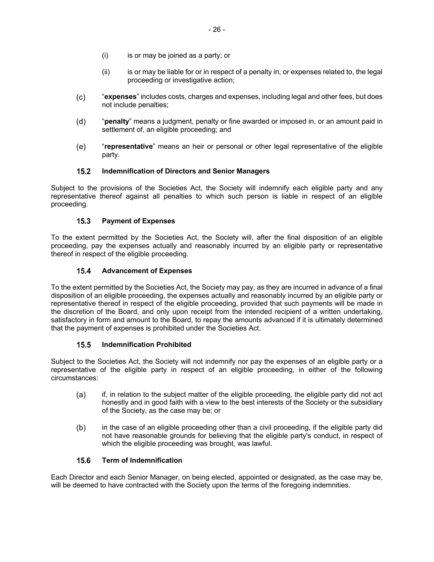- (i) is or may be joined as a party; or
- (ii) is or may be liable for or in respect of a penalty in, or expenses related to, the legal proceeding or investigative action;
- $(c)$ "**expenses**" includes costs, charges and expenses, including legal and other fees, but does not include penalties;
- $(d)$ "**penalty**" means a judgment, penalty or fine awarded or imposed in, or an amount paid in settlement of, an eligible proceeding; and
- (e) "**representative**" means an heir or personal or other legal representative of the eligible party.

#### $15.2$ **Indemnification of Directors and Senior Managers**

Subject to the provisions of the Societies Act, the Society will indemnify each eligible party and any representative thereof against all penalties to which such person is liable in respect of an eligible proceeding.

#### $15.3$ **Payment of Expenses**

To the extent permitted by the Societies Act, the Society will, after the final disposition of an eligible proceeding, pay the expenses actually and reasonably incurred by an eligible party or representative thereof in respect of the eligible proceeding.

#### $15.4$ **Advancement of Expenses**

To the extent permitted by the Societies Act, the Society may pay, as they are incurred in advance of a final disposition of an eligible proceeding, the expenses actually and reasonably incurred by an eligible party or representative thereof in respect of the eligible proceeding, provided that such payments will be made in the discretion of the Board, and only upon receipt from the intended recipient of a written undertaking, satisfactory in form and amount to the Board, to repay the amounts advanced if it is ultimately determined that the payment of expenses is prohibited under the Societies Act.

#### **Indemnification Prohibited**  $15.5$

Subject to the Societies Act, the Society will not indemnify nor pay the expenses of an eligible party or a representative of the eligible party in respect of an eligible proceeding, in either of the following circumstances:

- if, in relation to the subject matter of the eligible proceeding, the eligible party did not act  $(a)$ honestly and in good faith with a view to the best interests of the Society or the subsidiary of the Society, as the case may be; or
- $(b)$ in the case of an eligible proceeding other than a civil proceeding, if the eligible party did not have reasonable grounds for believing that the eligible party's conduct, in respect of which the eligible proceeding was brought, was lawful.

#### $15.6$ **Term of Indemnification**

Each Director and each Senior Manager, on being elected, appointed or designated, as the case may be, will be deemed to have contracted with the Society upon the terms of the foregoing indemnities.